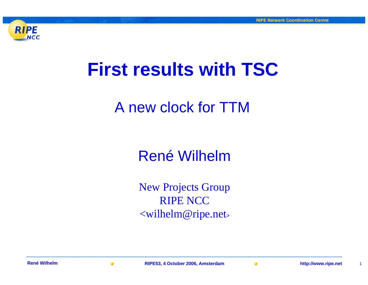

# **First results with TSC**

# A new clock for TTM

# René Wilhelm

New Projects Group RIPE NCC<wilhelm@ripe.net>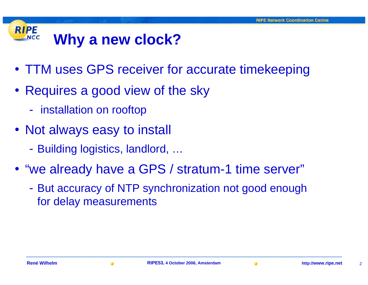#### **RIPE Why a new clock? NCC**

- TTM uses GPS receiver for accurate timekeeping
- Requires a good view of the sky
	- $\mathcal{L}_{\mathcal{A}}$ - installation on rooftop
- Not always easy to install
	- -Building logistics, landlord, …
- "we already have a GPS / stratum-1 time server"
	- $\mathcal{L}_{\mathcal{A}}$  But accuracy of NTP synchronization not good enough for delay measurements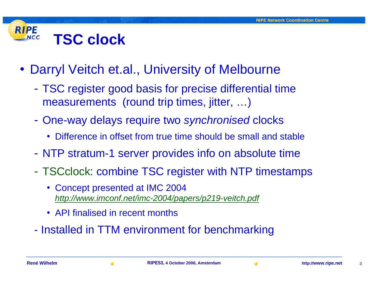#### **RIPE TSC clock NCC**

- Darryl Veitch et.al., University of Melbourne
	- TSC register good basis for precise differential time measurements (round trip times, jitter, ...)
	- One-way delays require two *synchronised* clocks
		- Difference in offset from true time should be small and stable
	- NTP stratum-1 server provides info on absolute time
	- TSCclock: combine TSC register with NTP timestamps
		- Concept presented at IMC 2004 *<http://www.imconf.net/imc-2004/papers/p219-veitch.pdf>*
		- API finalised in recent months
	- -Installed in TTM environment for benchmarking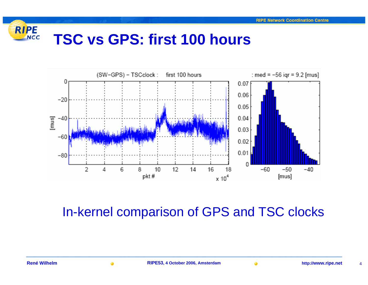### RIPE **TSC vs GPS: first 100 hours**



## In-kernel comparison of GPS and TSC clocks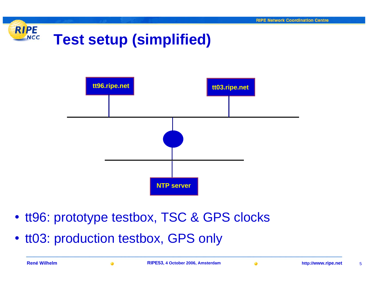



- tt96: prototype testbox, TSC & GPS clocks
- tt03: production testbox, GPS only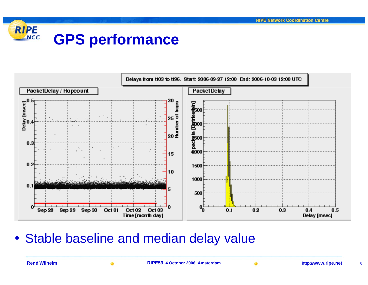#### **RIPE GPS performance NCC**



• Stable baseline and median delay value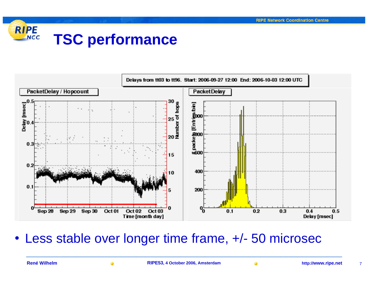### RIPE **TSC performance**



• Less stable over longer time frame, +/- 50 microsec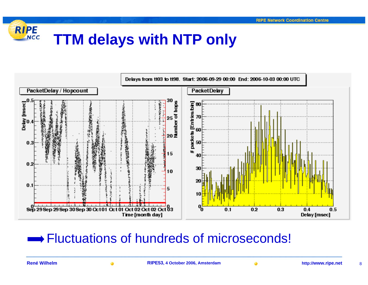### RIPE **TTM delays with NTP only**



## $\rightarrow$  Fluctuations of hundreds of microseconds!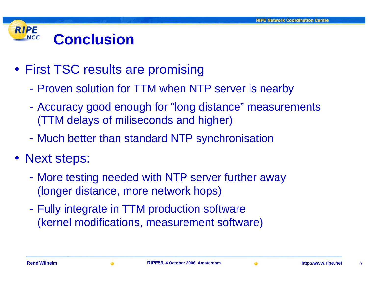#### **RIPE ConclusionNCC**

- First TSC results are promising
	- $\mathcal{L}_{\mathcal{A}}$ Proven solution for TTM when NTP server is nearby
	- $\mathcal{L}_{\mathcal{A}}$  Accuracy good enough for "long distance" measurements (TTM delays of miliseconds and higher)
	- $\mathcal{L}_{\mathcal{A}}$ Much better than standard NTP synchronisation
- Next steps:
	- $\mathcal{L}_{\mathcal{A}}$  More testing needed with NTP server further away (longer distance, more network hops)
	- $\mathcal{L}_{\mathcal{A}}$ - Fully integrate in TTM production software (kernel modifications, measurement software)